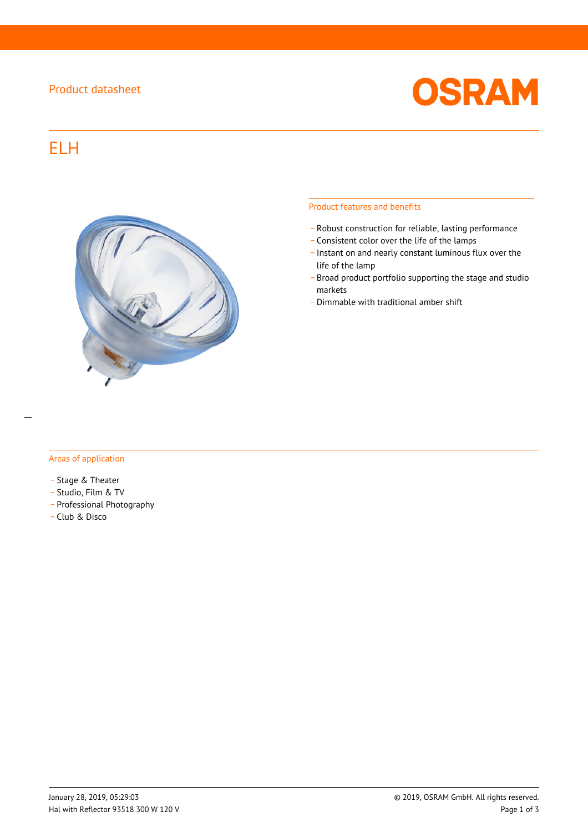## Product datasheet



# ELH



#### Product features and benefits

- \_ Robust construction for reliable, lasting performance
- \_ Consistent color over the life of the lamps
- \_ Instant on and nearly constant luminous flux over the life of the lamp
- \_ Broad product portfolio supporting the stage and studio markets
- \_ Dimmable with traditional amber shift

#### Areas of application

- Stage & Theater
- \_ Studio, Film & TV
- \_ Professional Photography
- \_ Club & Disco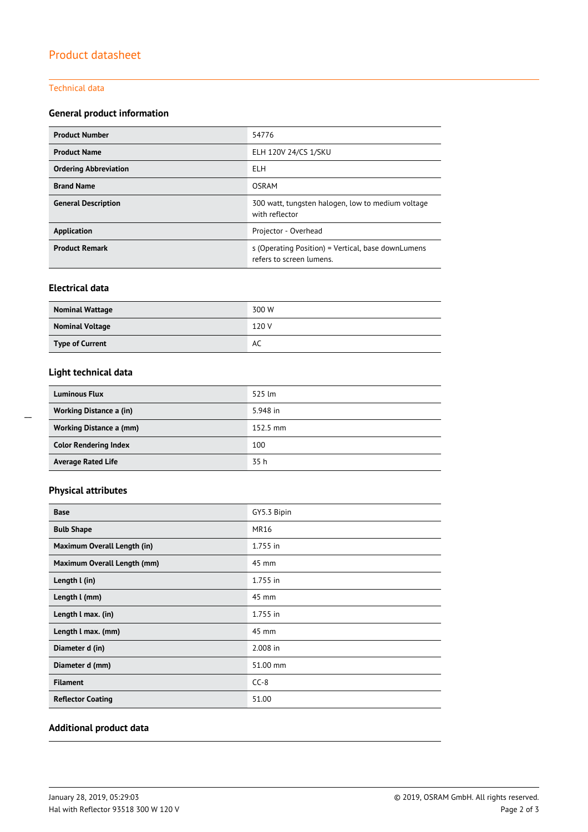#### Technical data

## **General product information**

| <b>Product Number</b>        | 54776                                                                          |  |  |
|------------------------------|--------------------------------------------------------------------------------|--|--|
| <b>Product Name</b>          | ELH 120V 24/CS 1/SKU                                                           |  |  |
| <b>Ordering Abbreviation</b> | ELH                                                                            |  |  |
| <b>Brand Name</b>            | <b>OSRAM</b>                                                                   |  |  |
| <b>General Description</b>   | 300 watt, tungsten halogen, low to medium voltage<br>with reflector            |  |  |
| Application                  | Projector - Overhead                                                           |  |  |
| <b>Product Remark</b>        | s (Operating Position) = Vertical, base downLumens<br>refers to screen lumens. |  |  |

## **Electrical data**

| <b>Nominal Wattage</b> | 300 W |
|------------------------|-------|
| <b>Nominal Voltage</b> | 120 V |
| <b>Type of Current</b> | AC    |

## **Light technical data**

| <b>Luminous Flux</b>           | 525 lm             |
|--------------------------------|--------------------|
| <b>Working Distance a (in)</b> | 5.948 in           |
| Working Distance a (mm)        | $152.5 \text{ mm}$ |
| <b>Color Rendering Index</b>   | 100                |
| <b>Average Rated Life</b>      | 35 h               |

## **Physical attributes**

| <b>Base</b>                 | GY5.3 Bipin |
|-----------------------------|-------------|
| <b>Bulb Shape</b>           | <b>MR16</b> |
| Maximum Overall Length (in) | 1.755 in    |
| Maximum Overall Length (mm) | 45 mm       |
| Length I (in)               | 1.755 in    |
| Length I (mm)               | 45 mm       |
| Length I max. (in)          | 1.755 in    |
| Length I max. (mm)          | 45 mm       |
| Diameter d (in)             | 2.008 in    |
| Diameter d (mm)             | 51.00 mm    |
| <b>Filament</b>             | $CC-8$      |
| <b>Reflector Coating</b>    | 51.00       |

### **Additional product data**